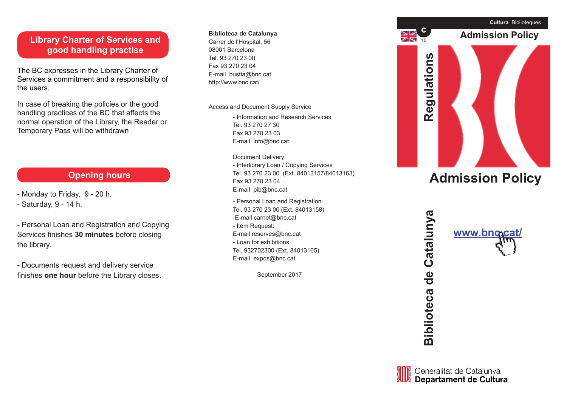### **Library Charter of Services and good handling practise**

The BC expresses in the Library Charter of Services a commitment and a responsibility of the users.

In case of breaking the policies or the good handling practices of the BC that affects the normal operation of the Library, the Reader or Temporary Pass will be withdrawn

## **Opening hours**

- Monday to Friday, 9 20 h.
- Saturday, 9 14 h.

- Personal Loan and Registration and Copying Services finishes **30 minutes** before closing the library.

- Documents request and delivery service finishes **one hour** before the Library closes.

#### **c Biblioteca de Catalunya**

Carrer de l'Hospital, 56 08001 Barcelona Tel. 93 270 23 00 Fax 93 270 23 04 E-mail bustia@bnc.cat http://www.bnc.cat/

Access and Document Supply Service

- Information and Research Services Tel. 93 270 27 30 Fax 93 270 23 03 E-mail info@bnc.cat

Document Delivery: - Interlibrary Loan / Copying Services Tel. 93 270 23 00 (Ext. 84013157/84013163) Fax 93 270 23 04 E-mail pib@bnc.cat

- Personal Loan and Registration. Tel. 93 270 23 00 (Ext. 84013158) -E-mail carnet@bnc.cat - Item Request: E-mail reserves@bnc.cat - Loan for exhibitions Tel. 932702300 (Ext. 84013165) E-mail expos@bnc.cat

September 2017



# **Admission Policy**





Catalunya

 $\frac{1}{\sigma}$ 

**Biblioteca**